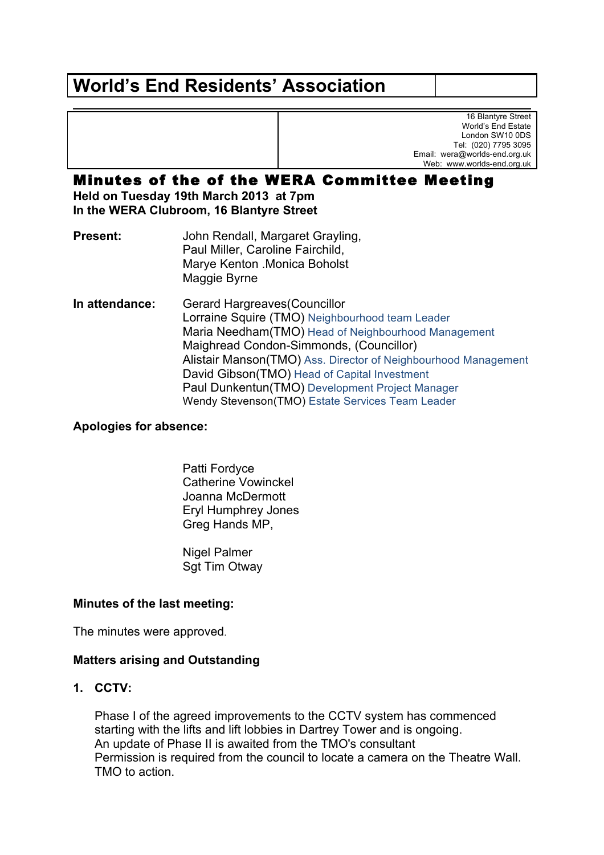# **World's End Residents' Association**

16 Blantyre Street World's End Estate London SW10 0DS Tel: (020) 7795 3095 Email: wera@worlds-end.org.uk Web: www.worlds-end.org.uk

# Minutes of the of the WERA Committee Meeting

**Held on Tuesday 19th March 2013 at 7pm In the WERA Clubroom, 16 Blantyre Street**

**Present:** John Rendall, Margaret Grayling, Paul Miller, Caroline Fairchild, Marye Kenton .Monica Boholst Maggie Byrne

**In attendance:** Gerard Hargreaves(Councillor Lorraine Squire (TMO) Neighbourhood team Leader Maria Needham(TMO) Head of Neighbourhood Management Maighread Condon-Simmonds, (Councillor) Alistair Manson(TMO) Ass. Director of Neighbourhood Management David Gibson(TMO) Head of Capital Investment Paul Dunkentun(TMO) Development Project Manager Wendy Stevenson(TMO) Estate Services Team Leader

**Apologies for absence:**

Patti Fordyce Catherine Vowinckel Joanna McDermott Eryl Humphrey Jones Greg Hands MP,

Nigel Palmer Sgt Tim Otway

#### **Minutes of the last meeting:**

The minutes were approved.

#### **Matters arising and Outstanding**

**1. CCTV:**

Phase I of the agreed improvements to the CCTV system has commenced starting with the lifts and lift lobbies in Dartrey Tower and is ongoing. An update of Phase II is awaited from the TMO's consultant Permission is required from the council to locate a camera on the Theatre Wall. TMO to action.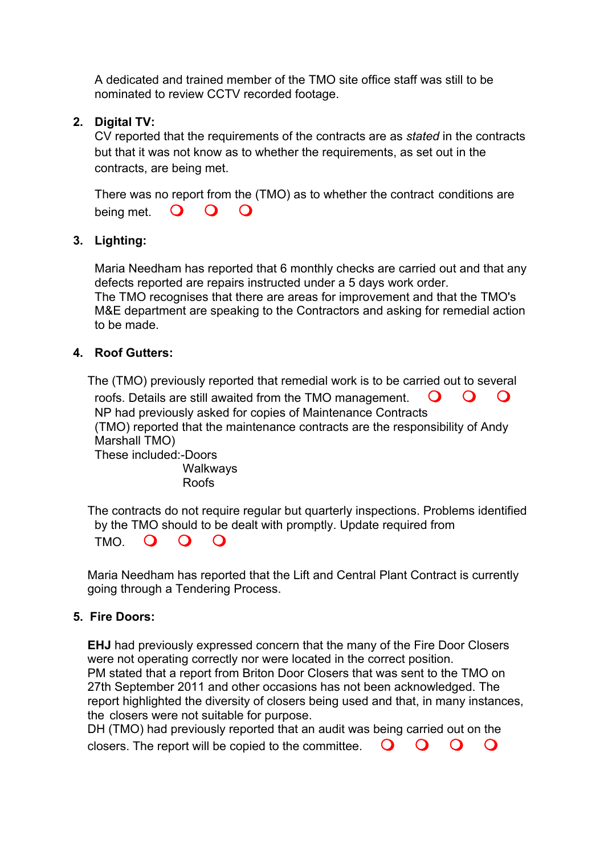A dedicated and trained member of the TMO site office staff was still to be nominated to review CCTV recorded footage.

## **2. Digital TV:**

CV reported that the requirements of the contracts are as *stated* in the contracts but that it was not know as to whether the requirements, as set out in the contracts, are being met.

There was no report from the (TMO) as to whether the contract conditions are being met.  $\bigcirc$   $\bigcirc$   $\bigcirc$ 

#### **3. Lighting:**

Maria Needham has reported that 6 monthly checks are carried out and that any defects reported are repairs instructed under a 5 days work order. The TMO recognises that there are areas for improvement and that the TMO's M&E department are speaking to the Contractors and asking for remedial action to be made.

#### **4. Roof Gutters:**

The (TMO) previously reported that remedial work is to be carried out to several roofs. Details are still awaited from the TMO management.  $\bigcirc$   $\bigcirc$   $\bigcirc$ NP had previously asked for copies of Maintenance Contracts (TMO) reported that the maintenance contracts are the responsibility of Andy Marshall TMO) These included:-Doors

**Walkways** Roofs

The contracts do not require regular but quarterly inspections. Problems identified by the TMO should to be dealt with promptly. Update required from  $TMO$   $O$   $O$ 

Maria Needham has reported that the Lift and Central Plant Contract is currently going through a Tendering Process.

#### **5. Fire Doors:**

**EHJ** had previously expressed concern that the many of the Fire Door Closers were not operating correctly nor were located in the correct position. PM stated that a report from Briton Door Closers that was sent to the TMO on 27th September 2011 and other occasions has not been acknowledged. The report highlighted the diversity of closers being used and that, in many instances, the closers were not suitable for purpose.

DH (TMO) had previously reported that an audit was being carried out on the closers. The report will be copied to the committee.  $\bigcirc$   $\bigcirc$   $\bigcirc$   $\bigcirc$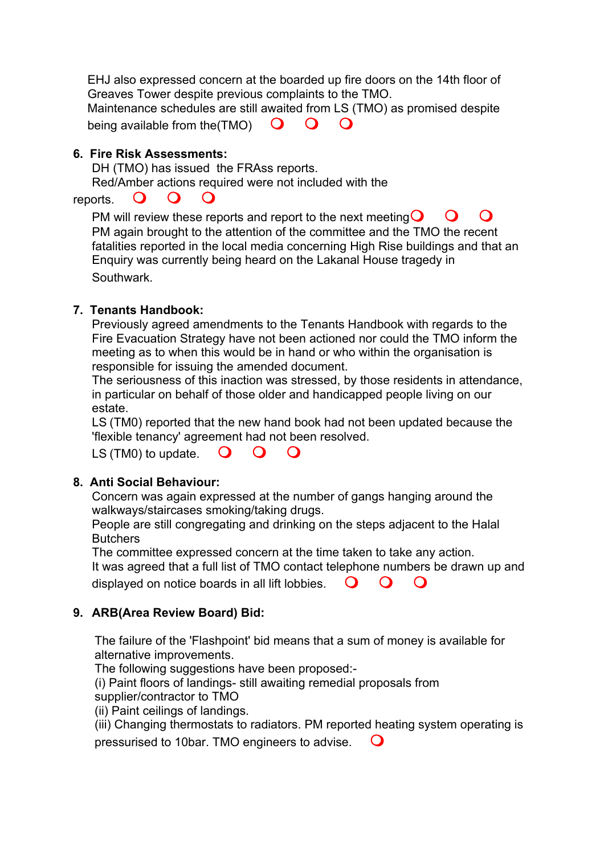EHJ also expressed concern at the boarded up fire doors on the 14th floor of Greaves Tower despite previous complaints to the TMO. Maintenance schedules are still awaited from LS (TMO) as promised despite being available from the  $(TMO)$   $\mathbf{O}$   $\mathbf{O}$   $\mathbf{O}$ 

#### **6. Fire Risk Assessments:**

DH (TMO) has issued the FRAss reports.

Red/Amber actions required were not included with the

# reports.  $\bullet$   $\bullet$

PM will review these reports and report to the next meeting  $\bigcirc$   $\bigcirc$   $\bigcirc$ PM again brought to the attention of the committee and the TMO the recent fatalities reported in the local media concerning High Rise buildings and that an Enquiry was currently being heard on the Lakanal House tragedy in Southwark.

#### **7. Tenants Handbook:**

Previously agreed amendments to the Tenants Handbook with regards to the Fire Evacuation Strategy have not been actioned nor could the TMO inform the meeting as to when this would be in hand or who within the organisation is responsible for issuing the amended document.

The seriousness of this inaction was stressed, by those residents in attendance, in particular on behalf of those older and handicapped people living on our estate.

LS (TM0) reported that the new hand book had not been updated because the 'flexible tenancy' agreement had not been resolved.

LS (TM0) to update.  $\bigcirc$   $\bigcirc$   $\bigcirc$ 

#### **8. Anti Social Behaviour:**

Concern was again expressed at the number of gangs hanging around the walkways/staircases smoking/taking drugs.

People are still congregating and drinking on the steps adjacent to the Halal **Butchers** 

The committee expressed concern at the time taken to take any action. It was agreed that a full list of TMO contact telephone numbers be drawn up and displayed on notice boards in all lift lobbies.  $\Box$   $\Box$   $\Box$ 

#### **9. ARB(Area Review Board) Bid:**

The failure of the 'Flashpoint' bid means that a sum of money is available for alternative improvements.

The following suggestions have been proposed:-

(i) Paint floors of landings- still awaiting remedial proposals from

supplier/contractor to TMO

(ii) Paint ceilings of landings.

(iii) Changing thermostats to radiators. PM reported heating system operating is pressurised to 10bar. TMO engineers to advise. m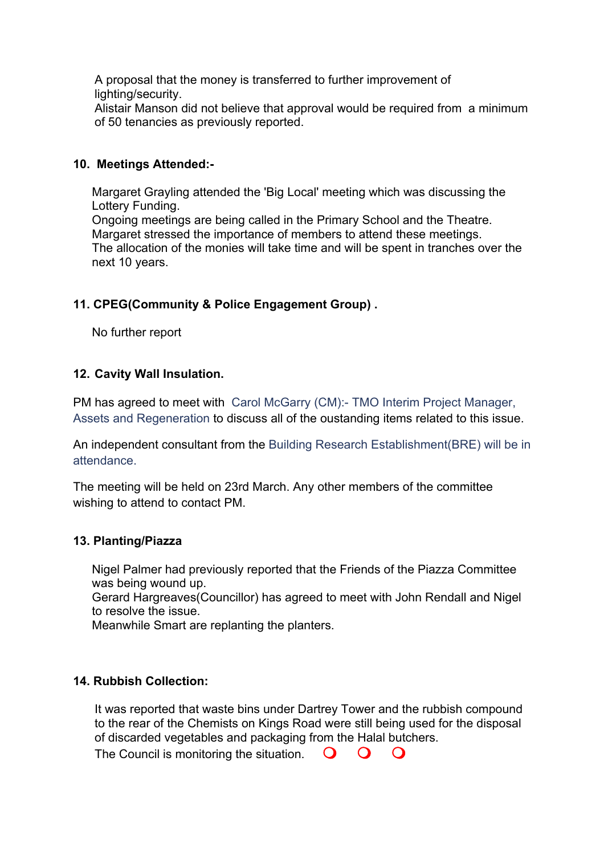A proposal that the money is transferred to further improvement of lighting/security.

Alistair Manson did not believe that approval would be required from a minimum of 50 tenancies as previously reported.

#### **10. Meetings Attended:-**

Margaret Grayling attended the 'Big Local' meeting which was discussing the Lottery Funding. Ongoing meetings are being called in the Primary School and the Theatre. Margaret stressed the importance of members to attend these meetings. The allocation of the monies will take time and will be spent in tranches over the next 10 years.

# **11. CPEG(Community & Police Engagement Group) .**

No further report

# **12. Cavity Wall Insulation.**

PM has agreed to meet with Carol McGarry (CM):- TMO Interim Project Manager, Assets and Regeneration to discuss all of the oustanding items related to this issue.

An independent consultant from the Building Research Establishment(BRE) will be in attendance.

The meeting will be held on 23rd March. Any other members of the committee wishing to attend to contact PM.

#### **13. Planting/Piazza**

Nigel Palmer had previously reported that the Friends of the Piazza Committee was being wound up.

Gerard Hargreaves(Councillor) has agreed to meet with John Rendall and Nigel to resolve the issue.

Meanwhile Smart are replanting the planters.

#### **14. Rubbish Collection:**

It was reported that waste bins under Dartrey Tower and the rubbish compound to the rear of the Chemists on Kings Road were still being used for the disposal of discarded vegetables and packaging from the Halal butchers.

The Council is monitoring the situation.  $\mathbf O$   $\mathbf O$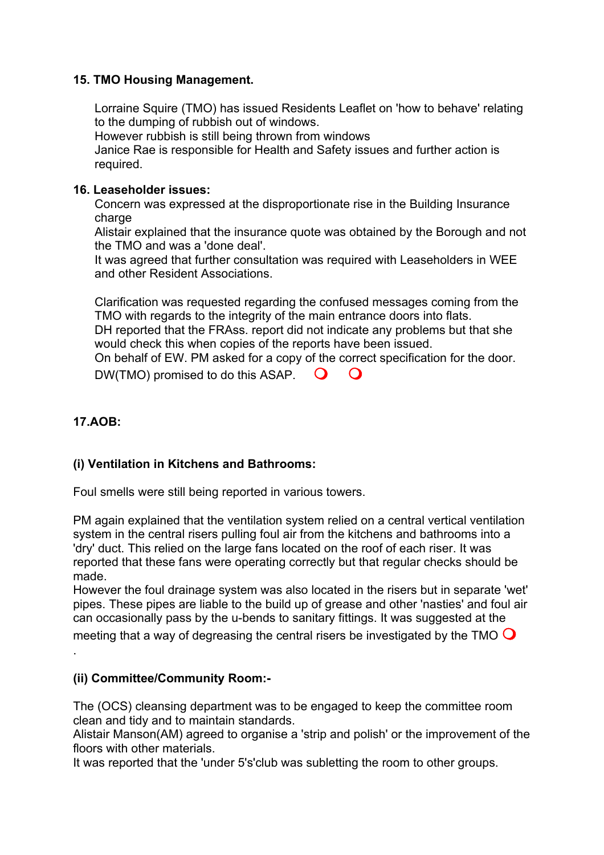#### **15. TMO Housing Management.**

Lorraine Squire (TMO) has issued Residents Leaflet on 'how to behave' relating to the dumping of rubbish out of windows.

However rubbish is still being thrown from windows

Janice Rae is responsible for Health and Safety issues and further action is required.

#### **16. Leaseholder issues:**

Concern was expressed at the disproportionate rise in the Building Insurance charge

Alistair explained that the insurance quote was obtained by the Borough and not the TMO and was a 'done deal'.

It was agreed that further consultation was required with Leaseholders in WEE and other Resident Associations.

Clarification was requested regarding the confused messages coming from the TMO with regards to the integrity of the main entrance doors into flats.

DH reported that the FRAss. report did not indicate any problems but that she would check this when copies of the reports have been issued.

On behalf of EW. PM asked for a copy of the correct specification for the door. DW(TMO) promised to do this ASAP.  $\bigcirc$   $\bigcirc$ 

## **17.AOB:**

.

#### **(i) Ventilation in Kitchens and Bathrooms:**

Foul smells were still being reported in various towers.

PM again explained that the ventilation system relied on a central vertical ventilation system in the central risers pulling foul air from the kitchens and bathrooms into a 'dry' duct. This relied on the large fans located on the roof of each riser. It was reported that these fans were operating correctly but that regular checks should be made.

However the foul drainage system was also located in the risers but in separate 'wet' pipes. These pipes are liable to the build up of grease and other 'nasties' and foul air can occasionally pass by the u-bends to sanitary fittings. It was suggested at the pipes. These pipes are liable to the build up of grease and other 'nasties' and foul air<br>can occasionally pass by the u-bends to sanitary fittings. It was suggested at the<br>meeting that a way of degreasing the central riser

#### **(ii) Committee/Community Room:-**

The (OCS) cleansing department was to be engaged to keep the committee room clean and tidy and to maintain standards.

Alistair Manson(AM) agreed to organise a 'strip and polish' or the improvement of the floors with other materials.

It was reported that the 'under 5's'club was subletting the room to other groups.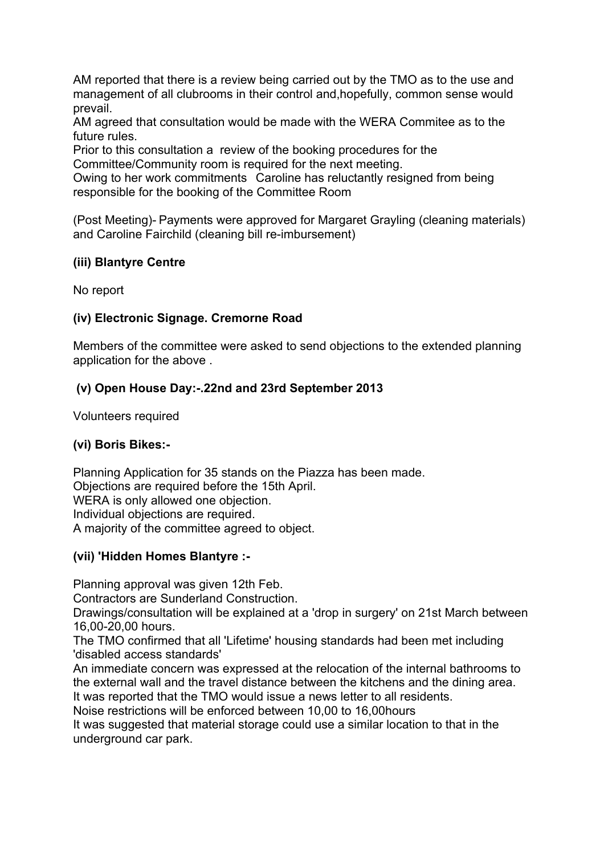AM reported that there is a review being carried out by the TMO as to the use and management of all clubrooms in their control and,hopefully, common sense would prevail.

AM agreed that consultation would be made with the WERA Commitee as to the future rules.

Prior to this consultation a review of the booking procedures for the Committee/Community room is required for the next meeting.

Owing to her work commitments Caroline has reluctantly resigned from being responsible for the booking of the Committee Room

(Post Meeting)- Payments were approved for Margaret Grayling (cleaning materials) and Caroline Fairchild (cleaning bill re-imbursement)

#### **(iii) Blantyre Centre**

No report

#### **(iv) Electronic Signage. Cremorne Road**

Members of the committee were asked to send objections to the extended planning application for the above .

# **(v) Open House Day:-.22nd and 23rd September 2013**

Volunteers required

#### **(vi) Boris Bikes:-**

Planning Application for 35 stands on the Piazza has been made. Objections are required before the 15th April. WERA is only allowed one objection. Individual objections are required. A majority of the committee agreed to object.

#### **(vii) 'Hidden Homes Blantyre :-**

Planning approval was given 12th Feb.

Contractors are Sunderland Construction.

Drawings/consultation will be explained at a 'drop in surgery' on 21st March between 16,00-20,00 hours.

The TMO confirmed that all 'Lifetime' housing standards had been met including 'disabled access standards'

An immediate concern was expressed at the relocation of the internal bathrooms to the external wall and the travel distance between the kitchens and the dining area. It was reported that the TMO would issue a news letter to all residents.

Noise restrictions will be enforced between 10,00 to 16,00hours

It was suggested that material storage could use a similar location to that in the underground car park.